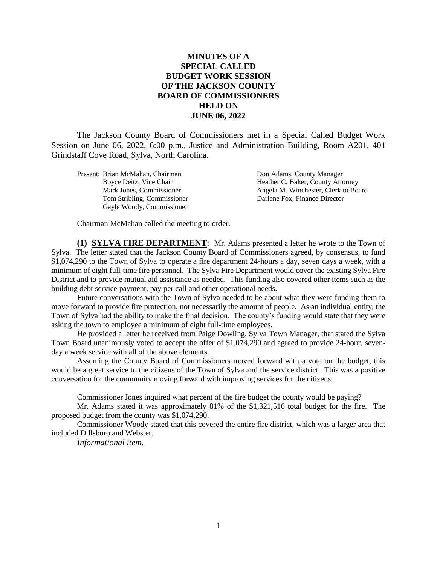## **MINUTES OF A SPECIAL CALLED BUDGET WORK SESSION OF THE JACKSON COUNTY BOARD OF COMMISSIONERS HELD ON JUNE 06, 2022**

The Jackson County Board of Commissioners met in a Special Called Budget Work Session on June 06, 2022, 6:00 p.m., Justice and Administration Building, Room A201, 401 Grindstaff Cove Road, Sylva, North Carolina.

| Present: Brian McMahan, Chairman | Don Adams, County Manager            |
|----------------------------------|--------------------------------------|
| Boyce Deitz, Vice Chair          | Heather C. Baker, County Attorney    |
| Mark Jones, Commissioner         | Angela M. Winchester, Clerk to Board |
| Tom Stribling, Commissioner      | Darlene Fox, Finance Director        |
| Gayle Woody, Commissioner        |                                      |
|                                  |                                      |

Chairman McMahan called the meeting to order.

**(1) SYLVA FIRE DEPARTMENT**: Mr. Adams presented a letter he wrote to the Town of Sylva. The letter stated that the Jackson County Board of Commissioners agreed, by consensus, to fund \$1,074,290 to the Town of Sylva to operate a fire department 24-hours a day, seven days a week, with a minimum of eight full-time fire personnel. The Sylva Fire Department would cover the existing Sylva Fire District and to provide mutual aid assistance as needed. This funding also covered other items such as the building debt service payment, pay per call and other operational needs.

Future conversations with the Town of Sylva needed to be about what they were funding them to move forward to provide fire protection, not necessarily the amount of people. As an individual entity, the Town of Sylva had the ability to make the final decision. The county's funding would state that they were asking the town to employee a minimum of eight full-time employees.

He provided a letter he received from Paige Dowling, Sylva Town Manager, that stated the Sylva Town Board unanimously voted to accept the offer of \$1,074,290 and agreed to provide 24-hour, sevenday a week service with all of the above elements.

Assuming the County Board of Commissioners moved forward with a vote on the budget, this would be a great service to the citizens of the Town of Sylva and the service district. This was a positive conversation for the community moving forward with improving services for the citizens.

Commissioner Jones inquired what percent of the fire budget the county would be paying?

Mr. Adams stated it was approximately 81% of the \$1,321,516 total budget for the fire. The proposed budget from the county was \$1,074,290.

Commissioner Woody stated that this covered the entire fire district, which was a larger area that included Dillsboro and Webster.

*Informational item.*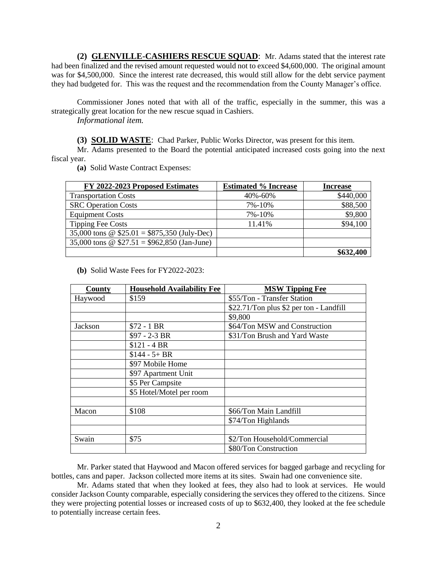**(2) GLENVILLE-CASHIERS RESCUE SQUAD**: Mr. Adams stated that the interest rate had been finalized and the revised amount requested would not to exceed \$4,600,000. The original amount was for \$4,500,000. Since the interest rate decreased, this would still allow for the debt service payment they had budgeted for. This was the request and the recommendation from the County Manager's office.

Commissioner Jones noted that with all of the traffic, especially in the summer, this was a strategically great location for the new rescue squad in Cashiers.

*Informational item.*

**(3) SOLID WASTE**: Chad Parker, Public Works Director, was present for this item.

Mr. Adams presented to the Board the potential anticipated increased costs going into the next fiscal year.

**(a)** Solid Waste Contract Expenses:

| FY 2022-2023 Proposed Estimates              | <b>Estimated % Increase</b> | <b>Increase</b> |
|----------------------------------------------|-----------------------------|-----------------|
| <b>Transportation Costs</b>                  | 40%-60%                     | \$440,000       |
| <b>SRC</b> Operation Costs                   | 7%-10%                      | \$88,500        |
| <b>Equipment Costs</b>                       | 7%-10%                      | \$9,800         |
| <b>Tipping Fee Costs</b>                     | 11.41%                      | \$94,100        |
| 35,000 tons @ $$25.01 = $875,350$ (July-Dec) |                             |                 |
| 35,000 tons @ $$27.51 = $962,850$ (Jan-June) |                             |                 |
|                                              |                             | \$632,400       |

**(b)** Solid Waste Fees for FY2022-2023:

| County  | <b>Household Availability Fee</b> | <b>MSW Tipping Fee</b>                  |
|---------|-----------------------------------|-----------------------------------------|
| Haywood | \$159                             | \$55/Ton - Transfer Station             |
|         |                                   | \$22.71/Ton plus \$2 per ton - Landfill |
|         |                                   | \$9,800                                 |
| Jackson | $$72 - 1 BR$                      | \$64/Ton MSW and Construction           |
|         | $$97 - 2 - 3 BR$                  | \$31/Ton Brush and Yard Waste           |
|         | $$121 - 4 BR$                     |                                         |
|         | $$144 - 5 + BR$                   |                                         |
|         | \$97 Mobile Home                  |                                         |
|         | \$97 Apartment Unit               |                                         |
|         | \$5 Per Campsite                  |                                         |
|         | \$5 Hotel/Motel per room          |                                         |
|         |                                   |                                         |
| Macon   | \$108                             | \$66/Ton Main Landfill                  |
|         |                                   | \$74/Ton Highlands                      |
|         |                                   |                                         |
| Swain   | \$75                              | \$2/Ton Household/Commercial            |
|         |                                   | \$80/Ton Construction                   |

Mr. Parker stated that Haywood and Macon offered services for bagged garbage and recycling for bottles, cans and paper. Jackson collected more items at its sites. Swain had one convenience site.

Mr. Adams stated that when they looked at fees, they also had to look at services. He would consider Jackson County comparable, especially considering the services they offered to the citizens. Since they were projecting potential losses or increased costs of up to \$632,400, they looked at the fee schedule to potentially increase certain fees.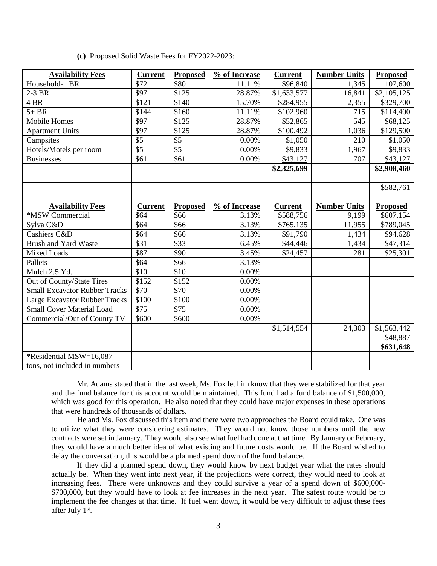| <b>Availability Fees</b>             | <b>Current</b>  | <b>Proposed</b>  | % of Increase | <b>Current</b> | <b>Number Units</b> | <b>Proposed</b> |
|--------------------------------------|-----------------|------------------|---------------|----------------|---------------------|-----------------|
| Household-1BR                        | \$72            | \$80             | 11.11%        | \$96,840       | 1,345               | 107,600         |
| 2-3 BR                               | \$97            | \$125            | 28.87%        | \$1,633,577    | 16,841              | \$2,105,125     |
| 4 BR                                 | \$121           | \$140            | 15.70%        | \$284,955      | 2,355               | \$329,700       |
| $5+BR$                               | \$144           | \$160            | 11.11%        | \$102,960      | 715                 | \$114,400       |
| <b>Mobile Homes</b>                  | \$97            | \$125            | 28.87%        | \$52,865       | 545                 | \$68,125        |
| <b>Apartment Units</b>               | \$97            | \$125            | 28.87%        | \$100,492      | 1,036               | \$129,500       |
| Campsites                            | \$5             | \$5              | 0.00%         | \$1,050        | 210                 | \$1,050         |
| Hotels/Motels per room               | $\overline{$5}$ | $\overline{\$5}$ | 0.00%         | \$9,833        | 1,967               | \$9,833         |
| <b>Businesses</b>                    | \$61            | \$61             | 0.00%         | \$43,127       | 707                 | \$43,127        |
|                                      |                 |                  |               | \$2,325,699    |                     | \$2,908,460     |
|                                      |                 |                  |               |                |                     |                 |
|                                      |                 |                  |               |                |                     | \$582,761       |
|                                      |                 |                  |               |                |                     |                 |
| <b>Availability Fees</b>             | <b>Current</b>  | <b>Proposed</b>  | % of Increase | <b>Current</b> | <b>Number Units</b> | <b>Proposed</b> |
| *MSW Commercial                      | \$64            | \$66             | 3.13%         | \$588,756      | 9,199               | \$607,154       |
| Sylva C&D                            | \$64            | \$66             | 3.13%         | \$765,135      | 11,955              | \$789,045       |
| Cashiers C&D                         | \$64            | \$66             | 3.13%         | \$91,790       | 1,434               | \$94,628        |
| <b>Brush and Yard Waste</b>          | \$31            | \$33             | 6.45%         | \$44,446       | 1,434               | \$47,314        |
| <b>Mixed Loads</b>                   | \$87            | \$90             | 3.45%         | \$24,457       | 281                 | \$25,301        |
| Pallets                              | \$64            | \$66             | 3.13%         |                |                     |                 |
| Mulch 2.5 Yd.                        | \$10            | \$10             | 0.00%         |                |                     |                 |
| Out of County/State Tires            | \$152           | \$152            | 0.00%         |                |                     |                 |
| <b>Small Excavator Rubber Tracks</b> | \$70            | \$70             | 0.00%         |                |                     |                 |
| <b>Large Excavator Rubber Tracks</b> | \$100           | \$100            | 0.00%         |                |                     |                 |
| <b>Small Cover Material Load</b>     | \$75            | \$75             | 0.00%         |                |                     |                 |
| Commercial/Out of County TV          | \$600           | \$600            | 0.00%         |                |                     |                 |
|                                      |                 |                  |               | \$1,514,554    | 24,303              | \$1,563,442     |
|                                      |                 |                  |               |                |                     | \$48,887        |
|                                      |                 |                  |               |                |                     | \$631,648       |
| *Residential MSW=16,087              |                 |                  |               |                |                     |                 |
| tons, not included in numbers        |                 |                  |               |                |                     |                 |

Mr. Adams stated that in the last week, Ms. Fox let him know that they were stabilized for that year and the fund balance for this account would be maintained. This fund had a fund balance of \$1,500,000, which was good for this operation. He also noted that they could have major expenses in these operations that were hundreds of thousands of dollars.

He and Ms. Fox discussed this item and there were two approaches the Board could take. One was to utilize what they were considering estimates. They would not know those numbers until the new contracts were set in January. They would also see what fuel had done at that time. By January or February, they would have a much better idea of what existing and future costs would be. If the Board wished to delay the conversation, this would be a planned spend down of the fund balance.

If they did a planned spend down, they would know by next budget year what the rates should actually be. When they went into next year, if the projections were correct, they would need to look at increasing fees. There were unknowns and they could survive a year of a spend down of \$600,000- \$700,000, but they would have to look at fee increases in the next year. The safest route would be to implement the fee changes at that time. If fuel went down, it would be very difficult to adjust these fees after July 1<sup>st</sup>.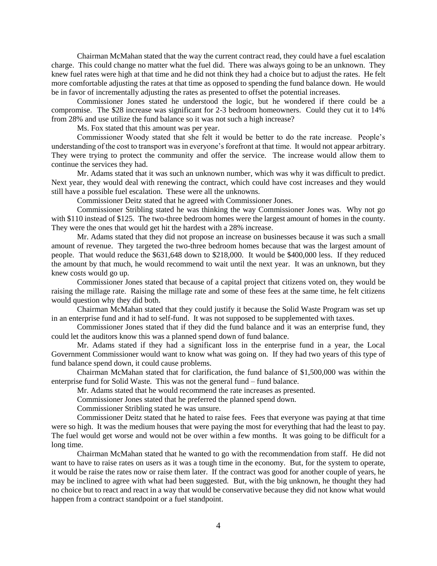Chairman McMahan stated that the way the current contract read, they could have a fuel escalation charge. This could change no matter what the fuel did. There was always going to be an unknown. They knew fuel rates were high at that time and he did not think they had a choice but to adjust the rates. He felt more comfortable adjusting the rates at that time as opposed to spending the fund balance down. He would be in favor of incrementally adjusting the rates as presented to offset the potential increases.

Commissioner Jones stated he understood the logic, but he wondered if there could be a compromise. The \$28 increase was significant for 2-3 bedroom homeowners. Could they cut it to 14% from 28% and use utilize the fund balance so it was not such a high increase?

Ms. Fox stated that this amount was per year.

Commissioner Woody stated that she felt it would be better to do the rate increase. People's understanding of the cost to transport was in everyone's forefront at that time. It would not appear arbitrary. They were trying to protect the community and offer the service. The increase would allow them to continue the services they had.

Mr. Adams stated that it was such an unknown number, which was why it was difficult to predict. Next year, they would deal with renewing the contract, which could have cost increases and they would still have a possible fuel escalation. These were all the unknowns.

Commissioner Deitz stated that he agreed with Commissioner Jones.

Commissioner Stribling stated he was thinking the way Commissioner Jones was. Why not go with \$110 instead of \$125. The two-three bedroom homes were the largest amount of homes in the county. They were the ones that would get hit the hardest with a 28% increase.

Mr. Adams stated that they did not propose an increase on businesses because it was such a small amount of revenue. They targeted the two-three bedroom homes because that was the largest amount of people. That would reduce the \$631,648 down to \$218,000. It would be \$400,000 less. If they reduced the amount by that much, he would recommend to wait until the next year. It was an unknown, but they knew costs would go up.

Commissioner Jones stated that because of a capital project that citizens voted on, they would be raising the millage rate. Raising the millage rate and some of these fees at the same time, he felt citizens would question why they did both.

Chairman McMahan stated that they could justify it because the Solid Waste Program was set up in an enterprise fund and it had to self-fund. It was not supposed to be supplemented with taxes.

Commissioner Jones stated that if they did the fund balance and it was an enterprise fund, they could let the auditors know this was a planned spend down of fund balance.

Mr. Adams stated if they had a significant loss in the enterprise fund in a year, the Local Government Commissioner would want to know what was going on. If they had two years of this type of fund balance spend down, it could cause problems.

Chairman McMahan stated that for clarification, the fund balance of \$1,500,000 was within the enterprise fund for Solid Waste. This was not the general fund – fund balance.

Mr. Adams stated that he would recommend the rate increases as presented.

Commissioner Jones stated that he preferred the planned spend down.

Commissioner Stribling stated he was unsure.

Commissioner Deitz stated that he hated to raise fees. Fees that everyone was paying at that time were so high. It was the medium houses that were paying the most for everything that had the least to pay. The fuel would get worse and would not be over within a few months. It was going to be difficult for a long time.

Chairman McMahan stated that he wanted to go with the recommendation from staff. He did not want to have to raise rates on users as it was a tough time in the economy. But, for the system to operate, it would be raise the rates now or raise them later. If the contract was good for another couple of years, he may be inclined to agree with what had been suggested. But, with the big unknown, he thought they had no choice but to react and react in a way that would be conservative because they did not know what would happen from a contract standpoint or a fuel standpoint.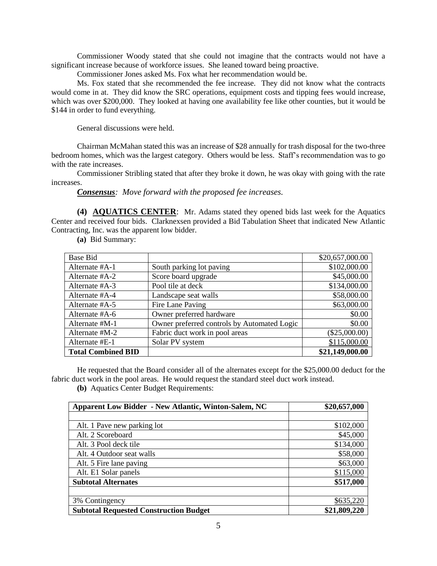Commissioner Woody stated that she could not imagine that the contracts would not have a significant increase because of workforce issues. She leaned toward being proactive.

Commissioner Jones asked Ms. Fox what her recommendation would be.

Ms. Fox stated that she recommended the fee increase. They did not know what the contracts would come in at. They did know the SRC operations, equipment costs and tipping fees would increase, which was over \$200,000. They looked at having one availability fee like other counties, but it would be \$144 in order to fund everything.

General discussions were held.

Chairman McMahan stated this was an increase of \$28 annually for trash disposal for the two-three bedroom homes, which was the largest category. Others would be less. Staff's recommendation was to go with the rate increases.

Commissioner Stribling stated that after they broke it down, he was okay with going with the rate increases.

*Consensus: Move forward with the proposed fee increases.*

**(4) AQUATICS CENTER**: Mr. Adams stated they opened bids last week for the Aquatics Center and received four bids. Clarknexsen provided a Bid Tabulation Sheet that indicated New Atlantic Contracting, Inc. was the apparent low bidder.

**(a)** Bid Summary:

| <b>Base Bid</b>           |                                             | \$20,657,000.00 |
|---------------------------|---------------------------------------------|-----------------|
| Alternate #A-1            | South parking lot paving                    | \$102,000.00    |
| Alternate #A-2            | Score board upgrade                         | \$45,000.00     |
| Alternate #A-3            | Pool tile at deck                           | \$134,000.00    |
| Alternate #A-4            | Landscape seat walls                        | \$58,000.00     |
| Alternate #A-5            | Fire Lane Paving                            | \$63,000.00     |
| Alternate #A-6            | Owner preferred hardware                    | \$0.00          |
| Alternate #M-1            | Owner preferred controls by Automated Logic | \$0.00          |
| Alternate #M-2            | Fabric duct work in pool areas              | $(\$25,000.00)$ |
| Alternate #E-1            | Solar PV system                             | \$115,000.00    |
| <b>Total Combined BID</b> |                                             | \$21,149,000.00 |

He requested that the Board consider all of the alternates except for the \$25,000.00 deduct for the fabric duct work in the pool areas. He would request the standard steel duct work instead.

**(b)** Aquatics Center Budget Requirements:

| <b>Apparent Low Bidder - New Atlantic, Winton-Salem, NC</b> | \$20,657,000 |
|-------------------------------------------------------------|--------------|
|                                                             |              |
| Alt. 1 Pave new parking lot                                 | \$102,000    |
| Alt. 2 Scoreboard                                           | \$45,000     |
| Alt. 3 Pool deck tile                                       | \$134,000    |
| Alt. 4 Outdoor seat walls                                   | \$58,000     |
| Alt. 5 Fire lane paving                                     | \$63,000     |
| Alt. E1 Solar panels                                        | \$115,000    |
| <b>Subtotal Alternates</b>                                  | \$517,000    |
|                                                             |              |
| 3% Contingency                                              | \$635,220    |
| <b>Subtotal Requested Construction Budget</b>               | \$21,809,220 |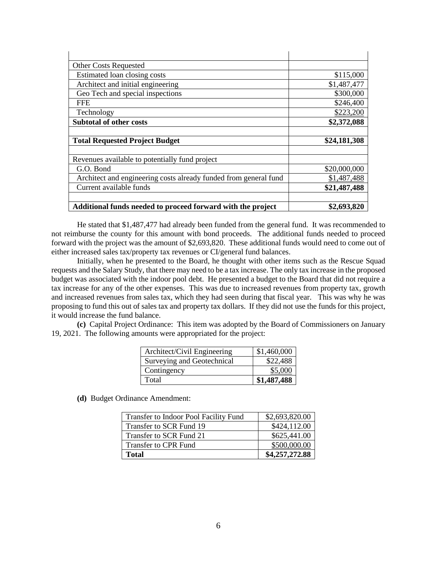| <b>Other Costs Requested</b>                                     |              |
|------------------------------------------------------------------|--------------|
| Estimated loan closing costs                                     | \$115,000    |
| Architect and initial engineering                                | \$1,487,477  |
| Geo Tech and special inspections                                 | \$300,000    |
| <b>FFE</b>                                                       | \$246,400    |
| Technology                                                       | \$223,200    |
| <b>Subtotal of other costs</b>                                   | \$2,372,088  |
|                                                                  |              |
| <b>Total Requested Project Budget</b>                            | \$24,181,308 |
|                                                                  |              |
| Revenues available to potentially fund project                   |              |
| G.O. Bond                                                        | \$20,000,000 |
| Architect and engineering costs already funded from general fund | \$1,487,488  |
| Current available funds                                          | \$21,487,488 |
|                                                                  |              |
| Additional funds needed to proceed forward with the project      | \$2,693,820  |

He stated that \$1,487,477 had already been funded from the general fund. It was recommended to not reimburse the county for this amount with bond proceeds. The additional funds needed to proceed forward with the project was the amount of \$2,693,820. These additional funds would need to come out of either increased sales tax/property tax revenues or CI/general fund balances.

Initially, when he presented to the Board, he thought with other items such as the Rescue Squad requests and the Salary Study, that there may need to be a tax increase. The only tax increase in the proposed budget was associated with the indoor pool debt. He presented a budget to the Board that did not require a tax increase for any of the other expenses. This was due to increased revenues from property tax, growth and increased revenues from sales tax, which they had seen during that fiscal year. This was why he was proposing to fund this out of sales tax and property tax dollars. If they did not use the funds for this project, it would increase the fund balance.

**(c)** Capital Project Ordinance: This item was adopted by the Board of Commissioners on January 19, 2021. The following amounts were appropriated for the project:

| Architect/Civil Engineering | \$1,460,000 |
|-----------------------------|-------------|
| Surveying and Geotechnical  | \$22,488    |
| Contingency                 | \$5,000     |
| Total                       | \$1,487,488 |

**(d)** Budget Ordinance Amendment:

| Transfer to Indoor Pool Facility Fund | \$2,693,820.00 |
|---------------------------------------|----------------|
| Transfer to SCR Fund 19               | \$424,112.00   |
| Transfer to SCR Fund 21               | \$625,441.00   |
| Transfer to CPR Fund                  | \$500,000.00   |
| <b>Total</b>                          | \$4,257,272.88 |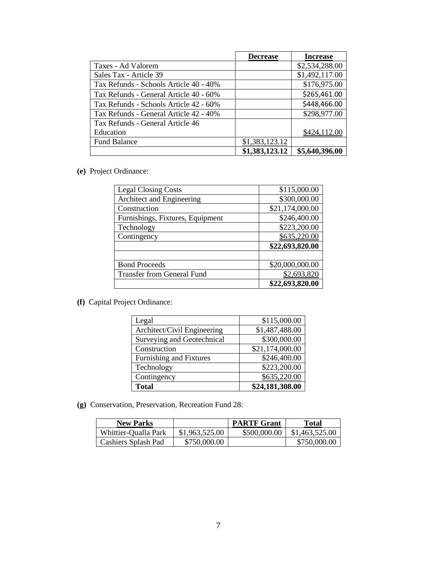|                                        | <b>Decrease</b> | <b>Increase</b> |
|----------------------------------------|-----------------|-----------------|
| Taxes - Ad Valorem                     |                 | \$2,534,288.00  |
| Sales Tax - Article 39                 |                 | \$1,492,117.00  |
| Tax Refunds - Schools Article 40 - 40% |                 | \$176,975.00    |
| Tax Refunds - General Article 40 - 60% |                 | \$265,461.00    |
| Tax Refunds - Schools Article 42 - 60% |                 | \$448,466.00    |
| Tax Refunds - General Article 42 - 40% |                 | \$298,977.00    |
| Tax Refunds - General Article 46       |                 |                 |
| Education                              |                 | \$424,112.00    |
| <b>Fund Balance</b>                    | \$1,383,123.12  |                 |
|                                        | \$1,383,123.12  | \$5,640,396.00  |

## **(e)** Project Ordinance:

| <b>Legal Closing Costs</b>        | \$115,000.00    |
|-----------------------------------|-----------------|
| Architect and Engineering         | \$300,000.00    |
| Construction                      | \$21,174,000.00 |
| Furnishings, Fixtures, Equipment  | \$246,400.00    |
| Technology                        | \$223,200.00    |
| Contingency                       | \$635,220.00    |
|                                   | \$22,693,820.00 |
|                                   |                 |
| <b>Bond Proceeds</b>              | \$20,000,000.00 |
| <b>Transfer from General Fund</b> | \$2,693,820     |
|                                   | \$22,693,820.00 |

**(f)** Capital Project Ordinance:

| Legal                          | \$115,000.00    |
|--------------------------------|-----------------|
| Architect/Civil Engineering    | \$1,487,488.00  |
| Surveying and Geotechnical     | \$300,000.00    |
| Construction                   | \$21,174,000.00 |
| <b>Furnishing and Fixtures</b> | \$246,400.00    |
| Technology                     | \$223,200.00    |
| Contingency                    | \$635,220.00    |
| <b>Total</b>                   | \$24,181,308.00 |

**(g)** Conservation, Preservation, Recreation Fund 28:

| <b>New Parks</b>     |                | <b>PARTF Grant</b> | <b>Total</b>   |
|----------------------|----------------|--------------------|----------------|
| Whittier-Qualla Park | \$1,963,525.00 | \$500,000.00       | \$1,463,525.00 |
| Cashiers Splash Pad  | \$750,000.00   |                    | \$750,000.00   |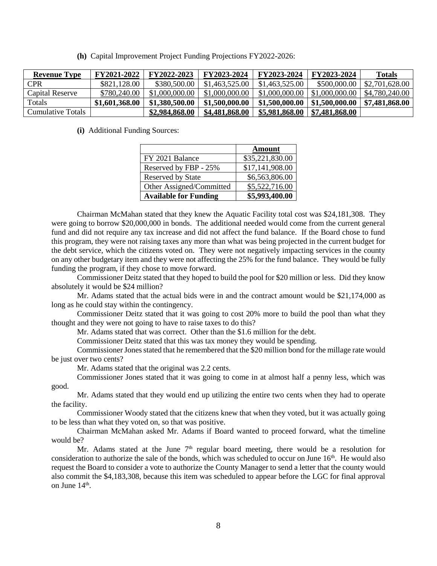**(h)** Capital Improvement Project Funding Projections FY2022-2026:

| <b>Revenue Type</b> | <b>FY2021-2022</b> | FY2022-2023    | FY2023-2024    | FY2023-2024    | FY2023-2024    | Totals         |
|---------------------|--------------------|----------------|----------------|----------------|----------------|----------------|
| CPR                 | \$821,128,00       | \$380,500.00   | \$1,463,525.00 | \$1,463,525.00 | \$500,000.00   | \$2,701,628.00 |
| Capital Reserve     | \$780,240.00       | \$1,000,000.00 | \$1,000,000.00 | \$1,000,000.00 | \$1,000,000.00 | \$4,780,240.00 |
| Totals              | \$1,601,368.00     | \$1,380,500.00 | \$1,500,000.00 | \$1,500,000.00 | \$1,500,000.00 | \$7,481,868.00 |
| Cumulative Totals   |                    | \$2,984,868.00 | \$4,481,868.00 | \$5,981,868.00 | \$7,481,868.00 |                |

**(i)** Additional Funding Sources:

|                              | <b>Amount</b>   |
|------------------------------|-----------------|
| FY 2021 Balance              | \$35,221,830.00 |
| Reserved by FBP - 25%        | \$17,141,908.00 |
| <b>Reserved by State</b>     | \$6,563,806.00  |
| Other Assigned/Committed     | \$5,522,716.00  |
| <b>Available for Funding</b> | \$5,993,400.00  |

Chairman McMahan stated that they knew the Aquatic Facility total cost was \$24,181,308. They were going to borrow \$20,000,000 in bonds. The additional needed would come from the current general fund and did not require any tax increase and did not affect the fund balance. If the Board chose to fund this program, they were not raising taxes any more than what was being projected in the current budget for the debt service, which the citizens voted on. They were not negatively impacting services in the county on any other budgetary item and they were not affecting the 25% for the fund balance. They would be fully funding the program, if they chose to move forward.

Commissioner Deitz stated that they hoped to build the pool for \$20 million or less. Did they know absolutely it would be \$24 million?

Mr. Adams stated that the actual bids were in and the contract amount would be \$21,174,000 as long as he could stay within the contingency.

Commissioner Deitz stated that it was going to cost 20% more to build the pool than what they thought and they were not going to have to raise taxes to do this?

Mr. Adams stated that was correct. Other than the \$1.6 million for the debt.

Commissioner Deitz stated that this was tax money they would be spending.

Commissioner Jones stated that he remembered that the \$20 million bond for the millage rate would be just over two cents?

Mr. Adams stated that the original was 2.2 cents.

Commissioner Jones stated that it was going to come in at almost half a penny less, which was good.

Mr. Adams stated that they would end up utilizing the entire two cents when they had to operate the facility.

Commissioner Woody stated that the citizens knew that when they voted, but it was actually going to be less than what they voted on, so that was positive.

Chairman McMahan asked Mr. Adams if Board wanted to proceed forward, what the timeline would be?

Mr. Adams stated at the June  $7<sup>th</sup>$  regular board meeting, there would be a resolution for consideration to authorize the sale of the bonds, which was scheduled to occur on June 16<sup>th</sup>. He would also request the Board to consider a vote to authorize the County Manager to send a letter that the county would also commit the \$4,183,308, because this item was scheduled to appear before the LGC for final approval on June 14<sup>th</sup>.